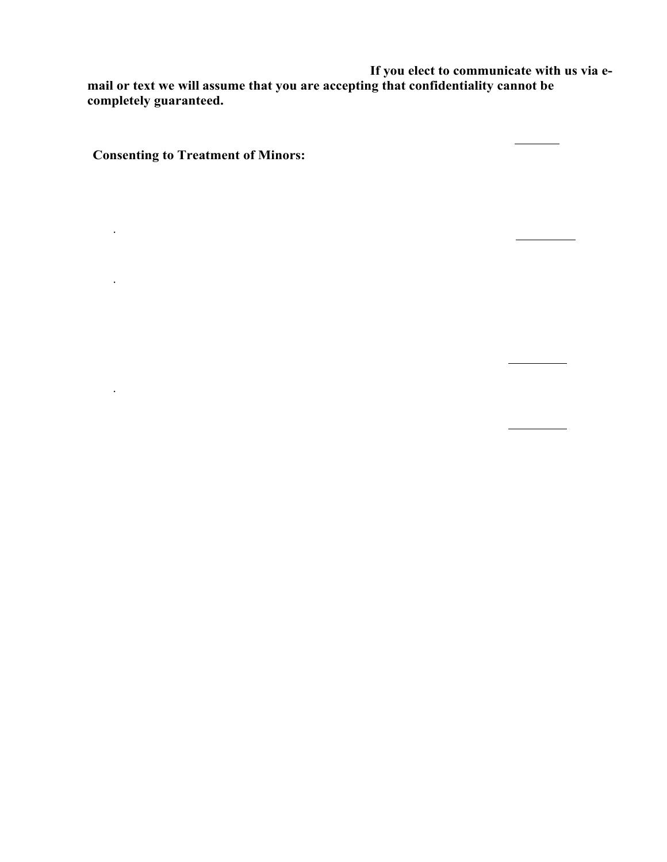regular business matters pertaining to our sessions. **If you elect to communicate with us via email or text we will assume that you are accepting that confidentiality cannot be completely guaranteed.**

| Initial:                                                                                                                                                                                     |
|----------------------------------------------------------------------------------------------------------------------------------------------------------------------------------------------|
| <b>Consenting to Treatment of Minors:</b>                                                                                                                                                    |
| In order to ensure parents/guardians consent to and have the opportunity to participate in<br>treatment, we must understand any custody issues. Please initial the appropriate<br>statement: |
| Both parents live together and agree to this treatment<br>Initial: $\frac{\ }{\ }$<br>$\bullet$                                                                                              |
| There is a formal or informal custody agreement in place, and we understand<br>that we must provide a copy of the agreement and sign a consent for treatment<br>in joint custody cases.      |
| Initial: $\_\_$                                                                                                                                                                              |
| The parent/guardian signing has sole custody and will provide that paperwork.                                                                                                                |
| Initial:                                                                                                                                                                                     |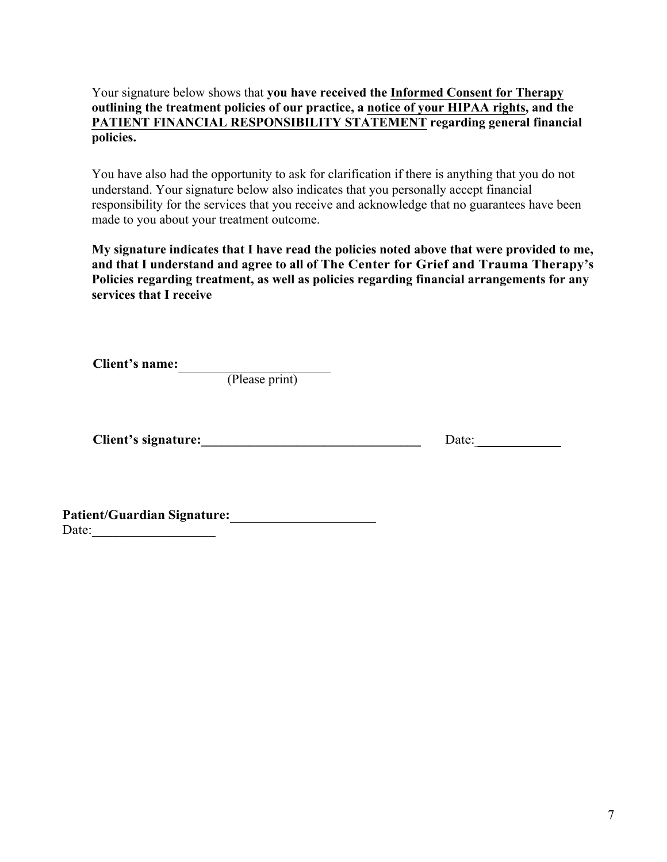## Your signature below shows that **you have received the Informed Consent for Therapy outlining the treatment policies of our practice, a notice of your HIPAA rights, and the PATIENT FINANCIAL RESPONSIBILITY STATEMENT regarding general financial policies.**

You have also had the opportunity to ask for clarification if there is anything that you do not understand. Your signature below also indicates that you personally accept financial responsibility for the services that you receive and acknowledge that no guarantees have been made to you about your treatment outcome.

**My signature indicates that I have read the policies noted above that were provided to me, and that I understand and agree to all of The Center for Grief and Trauma Therapy's Policies regarding treatment, as well as policies regarding financial arrangements for any services that I receive** 

**Client's name:** 

(Please print)

**Client's signature:\_\_\_\_\_\_\_\_\_\_\_\_\_\_\_\_\_\_\_\_\_\_\_\_\_\_\_\_\_\_\_\_** Date: \_\_\_\_\_\_\_\_\_\_\_\_\_

**Patient/Guardian Signature:**  Date:\_\_\_\_\_\_\_\_\_\_\_\_\_\_\_\_\_\_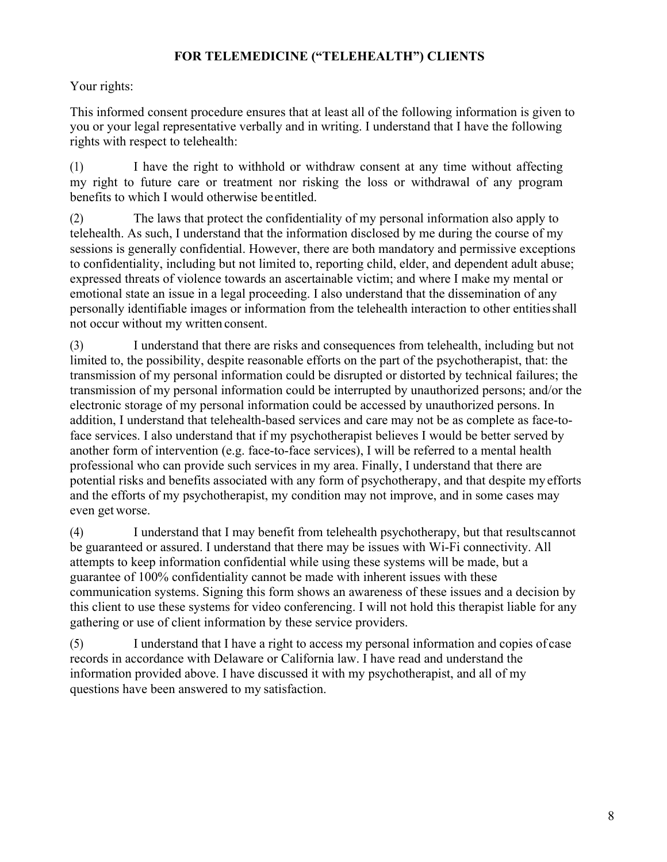## **FOR TELEMEDICINE ("TELEHEALTH") CLIENTS**

## Your rights:

This informed consent procedure ensures that at least all of the following information is given to you or your legal representative verbally and in writing. I understand that I have the following rights with respect to telehealth:

(1) I have the right to withhold or withdraw consent at any time without affecting my right to future care or treatment nor risking the loss or withdrawal of any program benefits to which I would otherwise beentitled.

(2) The laws that protect the confidentiality of my personal information also apply to telehealth. As such, I understand that the information disclosed by me during the course of my sessions is generally confidential. However, there are both mandatory and permissive exceptions to confidentiality, including but not limited to, reporting child, elder, and dependent adult abuse; expressed threats of violence towards an ascertainable victim; and where I make my mental or emotional state an issue in a legal proceeding. I also understand that the dissemination of any personally identifiable images or information from the telehealth interaction to other entitiesshall not occur without my written consent.

(3) I understand that there are risks and consequences from telehealth, including but not limited to, the possibility, despite reasonable efforts on the part of the psychotherapist, that: the transmission of my personal information could be disrupted or distorted by technical failures; the transmission of my personal information could be interrupted by unauthorized persons; and/or the electronic storage of my personal information could be accessed by unauthorized persons. In addition, I understand that telehealth-based services and care may not be as complete as face-toface services. I also understand that if my psychotherapist believes I would be better served by another form of intervention (e.g. face-to-face services), I will be referred to a mental health professional who can provide such services in my area. Finally, I understand that there are potential risks and benefits associated with any form of psychotherapy, and that despite my efforts and the efforts of my psychotherapist, my condition may not improve, and in some cases may even get worse.

(4) I understand that I may benefit from telehealth psychotherapy, but that resultscannot be guaranteed or assured. I understand that there may be issues with Wi-Fi connectivity. All attempts to keep information confidential while using these systems will be made, but a guarantee of 100% confidentiality cannot be made with inherent issues with these communication systems. Signing this form shows an awareness of these issues and a decision by this client to use these systems for video conferencing. I will not hold this therapist liable for any gathering or use of client information by these service providers.

(5) I understand that I have a right to access my personal information and copies of case records in accordance with Delaware or California law. I have read and understand the information provided above. I have discussed it with my psychotherapist, and all of my questions have been answered to my satisfaction.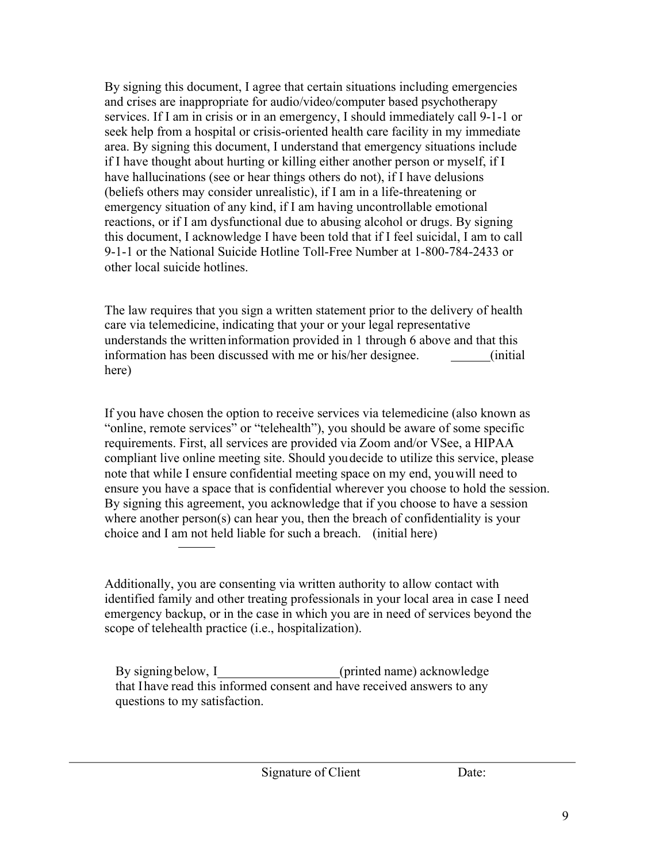By signing this document, I agree that certain situations including emergencies and crises are inappropriate for audio/video/computer based psychotherapy services. If I am in crisis or in an emergency, I should immediately call 9-1-1 or seek help from a hospital or crisis-oriented health care facility in my immediate area. By signing this document, I understand that emergency situations include if I have thought about hurting or killing either another person or myself, if I have hallucinations (see or hear things others do not), if I have delusions (beliefs others may consider unrealistic), if I am in a life-threatening or emergency situation of any kind, if I am having uncontrollable emotional reactions, or if I am dysfunctional due to abusing alcohol or drugs. By signing this document, I acknowledge I have been told that if I feel suicidal, I am to call 9-1-1 or the National Suicide Hotline Toll-Free Number at 1-800-784-2433 or other local suicide hotlines.

The law requires that you sign a written statement prior to the delivery of health care via telemedicine, indicating that your or your legal representative understands the writteninformation provided in 1 through 6 above and that this information has been discussed with me or his/her designee. (initial here)

If you have chosen the option to receive services via telemedicine (also known as "online, remote services" or "telehealth"), you should be aware of some specific requirements. First, all services are provided via Zoom and/or VSee, a HIPAA compliant live online meeting site. Should youdecide to utilize this service, please note that while I ensure confidential meeting space on my end, youwill need to ensure you have a space that is confidential wherever you choose to hold the session. By signing this agreement, you acknowledge that if you choose to have a session where another person(s) can hear you, then the breach of confidentiality is your choice and I am not held liable for such a breach. (initial here)

Additionally, you are consenting via written authority to allow contact with identified family and other treating professionals in your local area in case I need emergency backup, or in the case in which you are in need of services beyond the scope of telehealth practice (i.e., hospitalization).

By signing below, I (printed name) acknowledge that Ihave read this informed consent and have received answers to any questions to my satisfaction.